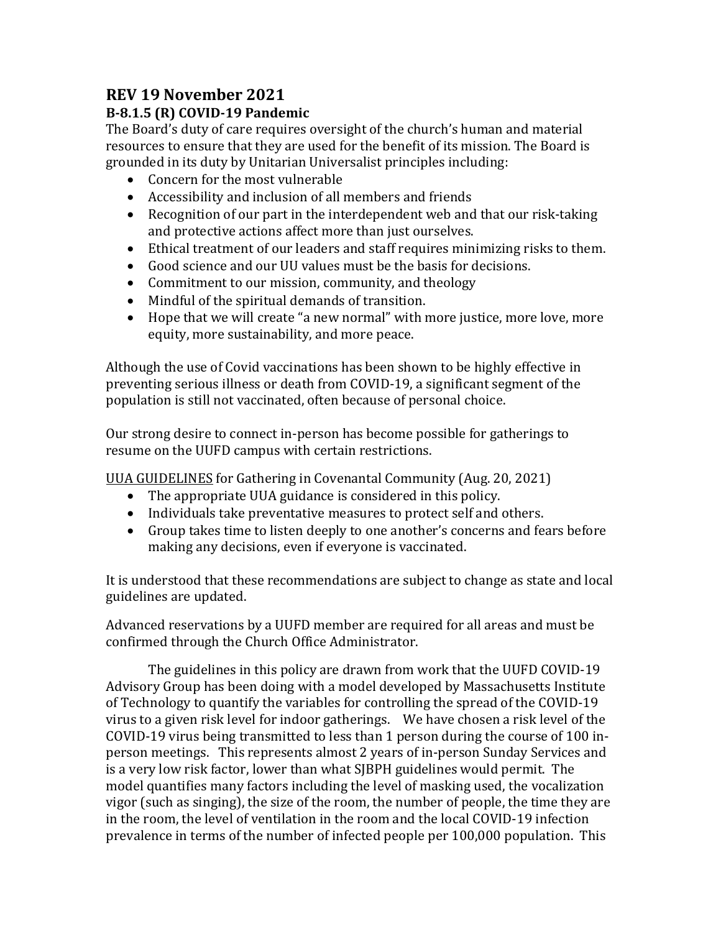# **REV 19 November 2021**

## **B-8.1.5 (R) COVID-19 Pandemic**

The Board's duty of care requires oversight of the church's human and material resources to ensure that they are used for the benefit of its mission. The Board is grounded in its duty by Unitarian Universalist principles including:

- Concern for the most vulnerable
- Accessibility and inclusion of all members and friends
- Recognition of our part in the interdependent web and that our risk-taking and protective actions affect more than just ourselves.
- Ethical treatment of our leaders and staff requires minimizing risks to them.
- Good science and our UU values must be the basis for decisions.
- Commitment to our mission, community, and theology
- Mindful of the spiritual demands of transition.
- Hope that we will create "a new normal" with more justice, more love, more equity, more sustainability, and more peace.

Although the use of Covid vaccinations has been shown to be highly effective in preventing serious illness or death from COVID-19, a significant segment of the population is still not vaccinated, often because of personal choice.

Our strong desire to connect in-person has become possible for gatherings to resume on the UUFD campus with certain restrictions.

[UUA GUIDELINES](about:blank) for Gathering in Covenantal Community (Aug. 20, 2021)

- The appropriate UUA guidance is considered in this policy.
- Individuals take preventative measures to protect self and others.
- Group takes time to listen deeply to one another's concerns and fears before making any decisions, even if everyone is vaccinated.

It is understood that these recommendations are subject to change as state and local guidelines are updated.

Advanced reservations by a UUFD member are required for all areas and must be confirmed through the Church Office Administrator.

The guidelines in this policy are drawn from work that the UUFD COVID-19 Advisory Group has been doing with a model developed by Massachusetts Institute of Technology to quantify the variables for controlling the spread of the COVID-19 virus to a given risk level for indoor gatherings. We have chosen a risk level of the COVID-19 virus being transmitted to less than 1 person during the course of 100 inperson meetings. This represents almost 2 years of in-person Sunday Services and is a very low risk factor, lower than what SJBPH guidelines would permit. The model quantifies many factors including the level of masking used, the vocalization vigor (such as singing), the size of the room, the number of people, the time they are in the room, the level of ventilation in the room and the local COVID-19 infection prevalence in terms of the number of infected people per 100,000 population. This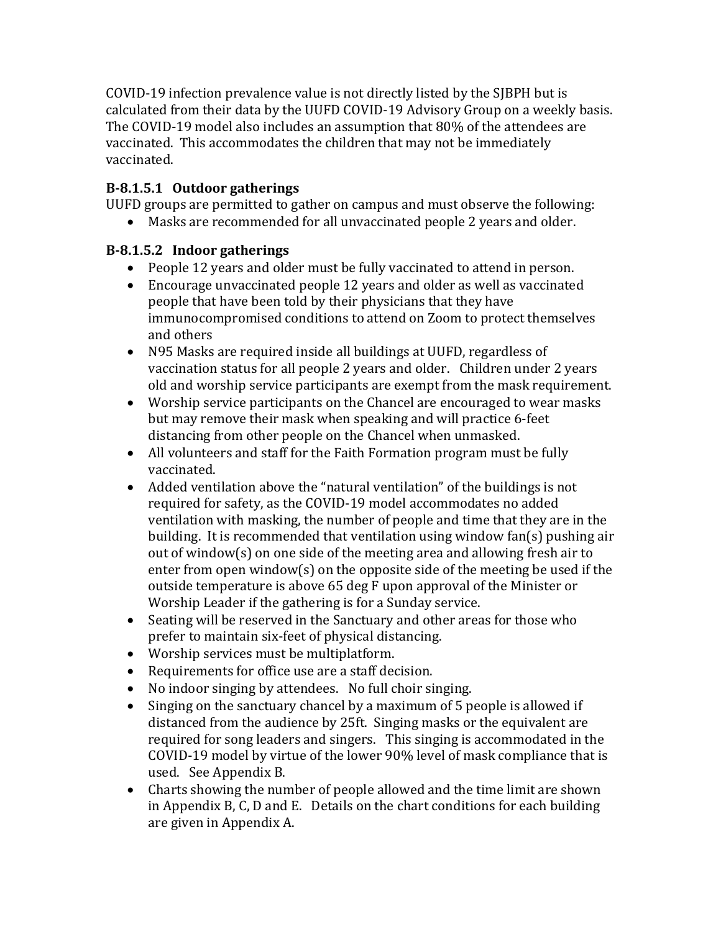COVID-19 infection prevalence value is not directly listed by the SJBPH but is calculated from their data by the UUFD COVID-19 Advisory Group on a weekly basis. The COVID-19 model also includes an assumption that 80% of the attendees are vaccinated. This accommodates the children that may not be immediately vaccinated.

#### **B-8.1.5.1 Outdoor gatherings**

UUFD groups are permitted to gather on campus and must observe the following:

• Masks are recommended for all unvaccinated people 2 years and older.

#### **B-8.1.5.2 Indoor gatherings**

- People 12 years and older must be fully vaccinated to attend in person.
- Encourage unvaccinated people 12 years and older as well as vaccinated people that have been told by their physicians that they have immunocompromised conditions to attend on Zoom to protect themselves and others
- N95 Masks are required inside all buildings at UUFD, regardless of vaccination status for all people 2 years and older. Children under 2 years old and worship service participants are exempt from the mask requirement.
- Worship service participants on the Chancel are encouraged to wear masks but may remove their mask when speaking and will practice 6-feet distancing from other people on the Chancel when unmasked.
- All volunteers and staff for the Faith Formation program must be fully vaccinated.
- Added ventilation above the "natural ventilation" of the buildings is not required for safety, as the COVID-19 model accommodates no added ventilation with masking, the number of people and time that they are in the building. It is recommended that ventilation using window fan(s) pushing air out of window(s) on one side of the meeting area and allowing fresh air to enter from open window(s) on the opposite side of the meeting be used if the outside temperature is above 65 deg F upon approval of the Minister or Worship Leader if the gathering is for a Sunday service.
- Seating will be reserved in the Sanctuary and other areas for those who prefer to maintain six-feet of physical distancing.
- Worship services must be multiplatform.
- Requirements for office use are a staff decision.
- No indoor singing by attendees. No full choir singing.
- Singing on the sanctuary chancel by a maximum of 5 people is allowed if distanced from the audience by 25ft. Singing masks or the equivalent are required for song leaders and singers. This singing is accommodated in the COVID-19 model by virtue of the lower 90% level of mask compliance that is used. See Appendix B.
- Charts showing the number of people allowed and the time limit are shown in Appendix B, C, D and E. Details on the chart conditions for each building are given in Appendix A.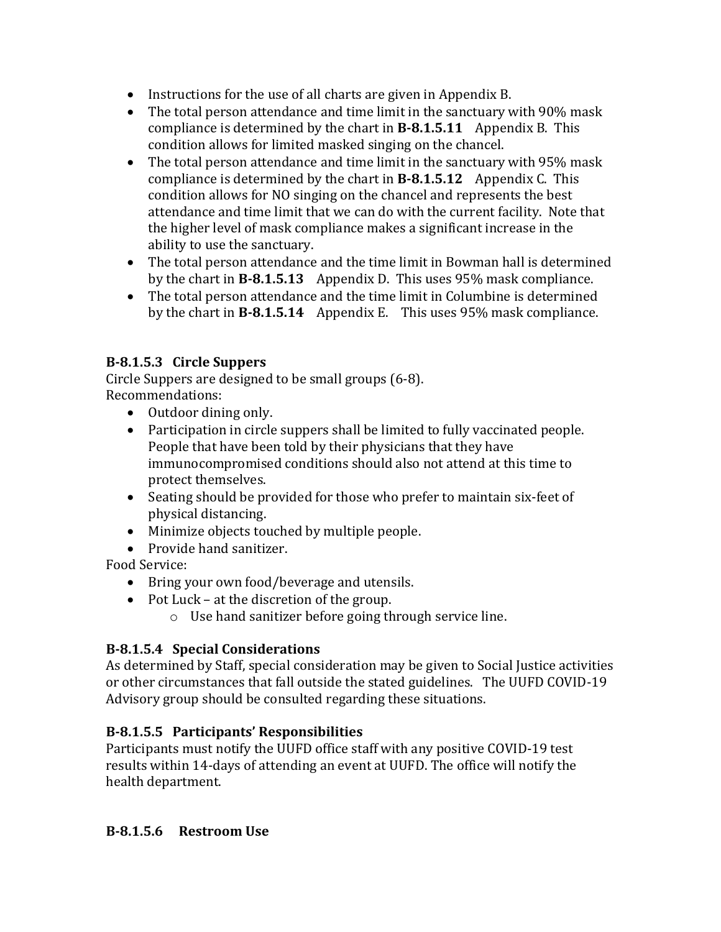- Instructions for the use of all charts are given in Appendix B.
- The total person attendance and time limit in the sanctuary with 90% mask compliance is determined by the chart in **B-8.1.5.11** Appendix B. This condition allows for limited masked singing on the chancel.
- The total person attendance and time limit in the sanctuary with 95% mask compliance is determined by the chart in **B-8.1.5.12** Appendix C. This condition allows for NO singing on the chancel and represents the best attendance and time limit that we can do with the current facility. Note that the higher level of mask compliance makes a significant increase in the ability to use the sanctuary.
- The total person attendance and the time limit in Bowman hall is determined by the chart in **B-8.1.5.13** Appendix D. This uses 95% mask compliance.
- The total person attendance and the time limit in Columbine is determined by the chart in **B-8.1.5.14** Appendix E. This uses 95% mask compliance.

## **B-8.1.5.3 Circle Suppers**

Circle Suppers are designed to be small groups (6-8). Recommendations:

- Outdoor dining only.
- Participation in circle suppers shall be limited to fully vaccinated people. People that have been told by their physicians that they have immunocompromised conditions should also not attend at this time to protect themselves.
- Seating should be provided for those who prefer to maintain six-feet of physical distancing.
- Minimize objects touched by multiple people.
- Provide hand sanitizer.

Food Service:

- Bring your own food/beverage and utensils.
- Pot Luck at the discretion of the group.
	- o Use hand sanitizer before going through service line.

## **B-8.1.5.4 Special Considerations**

As determined by Staff, special consideration may be given to Social Justice activities or other circumstances that fall outside the stated guidelines. The UUFD COVID-19 Advisory group should be consulted regarding these situations.

## **B-8.1.5.5 Participants' Responsibilities**

Participants must notify the UUFD office staff with any positive COVID-19 test results within 14-days of attending an event at UUFD. The office will notify the health department.

## **B-8.1.5.6 Restroom Use**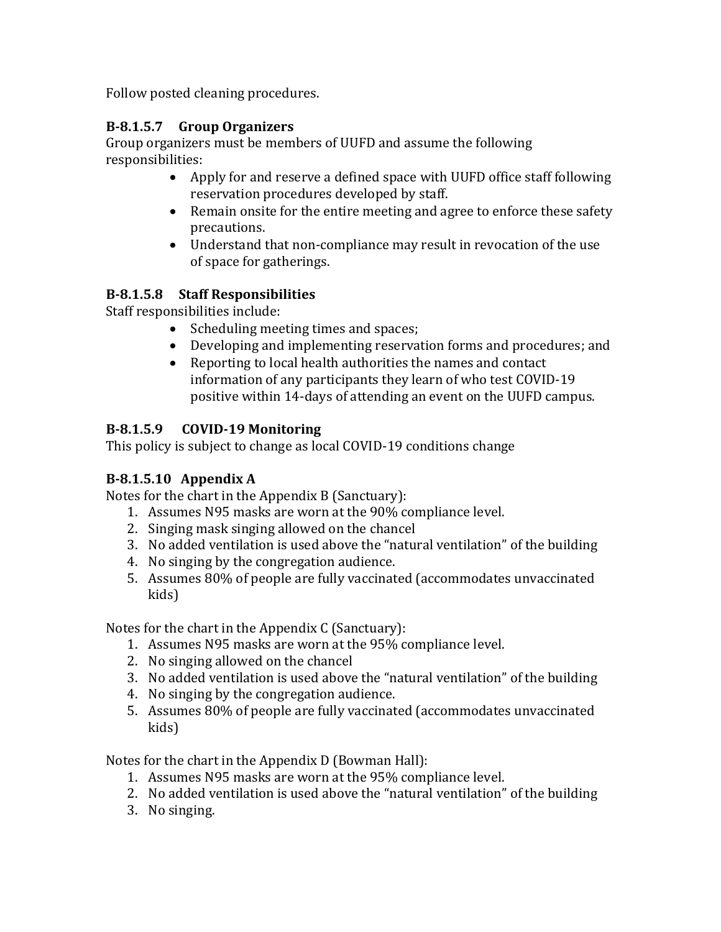Follow posted cleaning procedures.

#### **B-8.1.5.7 Group Organizers**

Group organizers must be members of UUFD and assume the following responsibilities:

- Apply for and reserve a defined space with UUFD office staff following reservation procedures developed by staff.
- Remain onsite for the entire meeting and agree to enforce these safety precautions.
- Understand that non-compliance may result in revocation of the use of space for gatherings.

#### **B-8.1.5.8 Staff Responsibilities**

Staff responsibilities include:

- Scheduling meeting times and spaces;
- Developing and implementing reservation forms and procedures; and
- Reporting to local health authorities the names and contact information of any participants they learn of who test COVID-19 positive within 14-days of attending an event on the UUFD campus.

#### **B-8.1.5.9 COVID-19 Monitoring**

This policy is subject to change as local COVID-19 conditions change

## **B-8.1.5.10 Appendix A**

Notes for the chart in the Appendix B (Sanctuary):

- 1. Assumes N95 masks are worn at the 90% compliance level.
- 2. Singing mask singing allowed on the chancel
- 3. No added ventilation is used above the "natural ventilation" of the building
- 4. No singing by the congregation audience.
- 5. Assumes 80% of people are fully vaccinated (accommodates unvaccinated kids)

Notes for the chart in the Appendix C (Sanctuary):

- 1. Assumes N95 masks are worn at the 95% compliance level.
- 2. No singing allowed on the chancel
- 3. No added ventilation is used above the "natural ventilation" of the building
- 4. No singing by the congregation audience.
- 5. Assumes 80% of people are fully vaccinated (accommodates unvaccinated kids)

Notes for the chart in the Appendix D (Bowman Hall):

- 1. Assumes N95 masks are worn at the 95% compliance level.
- 2. No added ventilation is used above the "natural ventilation" of the building
- 3. No singing.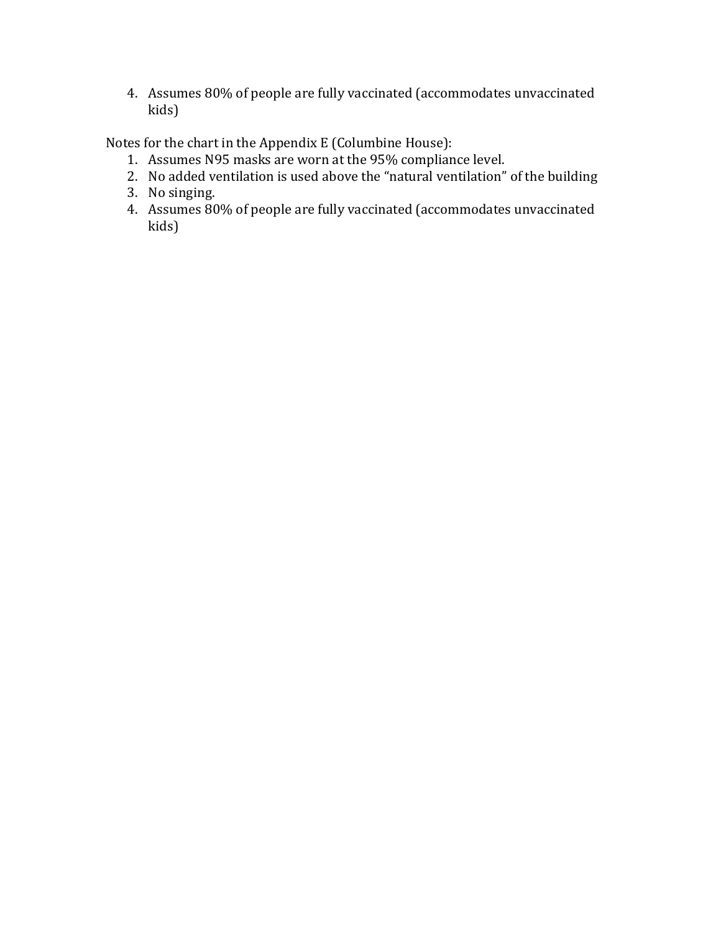4. Assumes 80% of people are fully vaccinated (accommodates unvaccinated kids)

Notes for the chart in the Appendix E (Columbine House):

- 1. Assumes N95 masks are worn at the 95% compliance level.
- 2. No added ventilation is used above the "natural ventilation" of the building
- 3. No singing.
- 4. Assumes 80% of people are fully vaccinated (accommodates unvaccinated kids)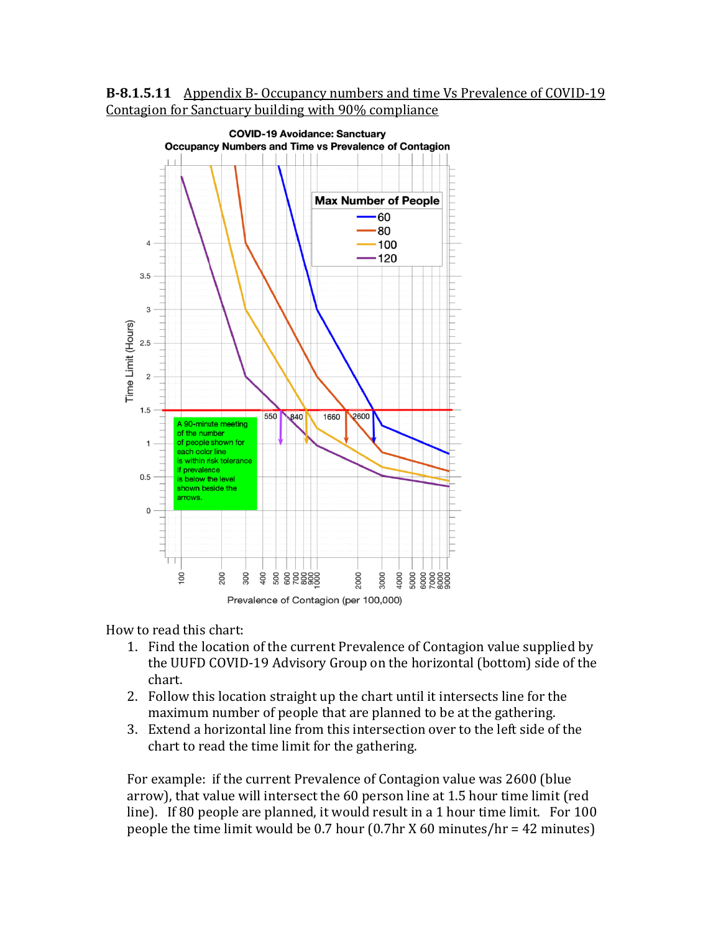



How to read this chart:

- 1. Find the location of the current Prevalence of Contagion value supplied by the UUFD COVID-19 Advisory Group on the horizontal (bottom) side of the chart.
- 2. Follow this location straight up the chart until it intersects line for the maximum number of people that are planned to be at the gathering.
- 3. Extend a horizontal line from this intersection over to the left side of the chart to read the time limit for the gathering.

For example: if the current Prevalence of Contagion value was 2600 (blue arrow), that value will intersect the 60 person line at 1.5 hour time limit (red line). If 80 people are planned, it would result in a 1 hour time limit. For 100 people the time limit would be 0.7 hour (0.7hr X 60 minutes/hr = 42 minutes)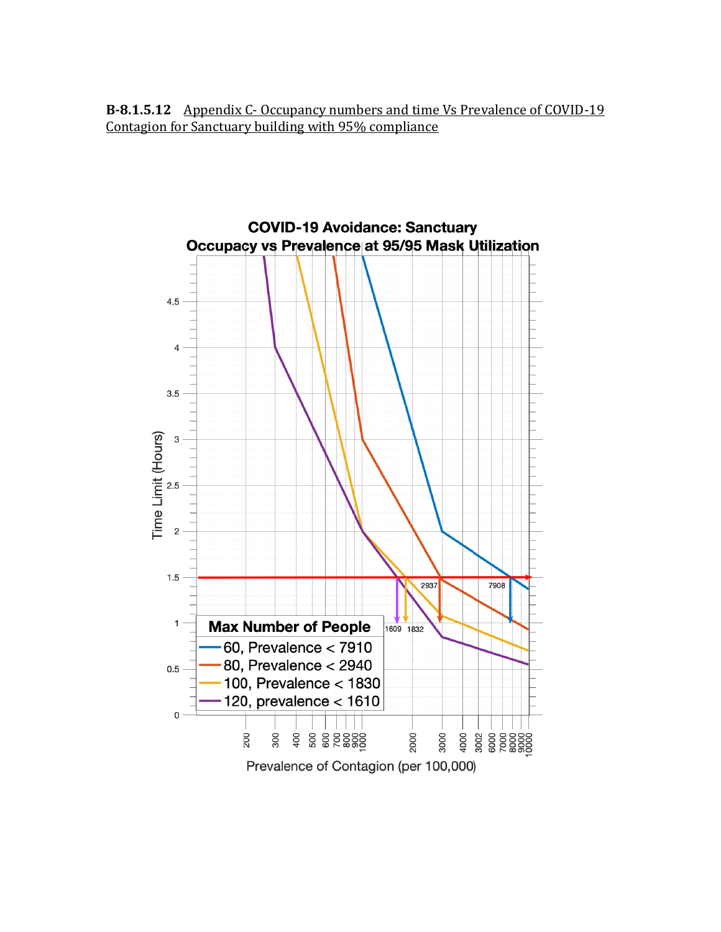**B-8.1.5.12** Appendix C- Occupancy numbers and time Vs Prevalence of COVID-19 Contagion for Sanctuary building with 95% compliance

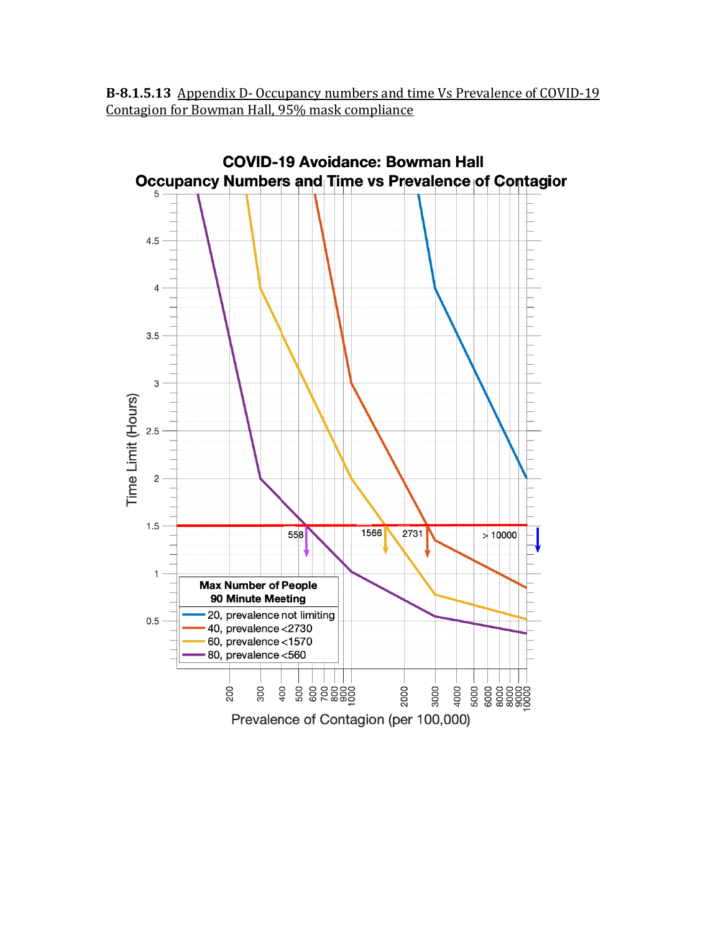**B-8.1.5.13** Appendix D- Occupancy numbers and time Vs Prevalence of COVID-19 Contagion for Bowman Hall, 95% mask compliance